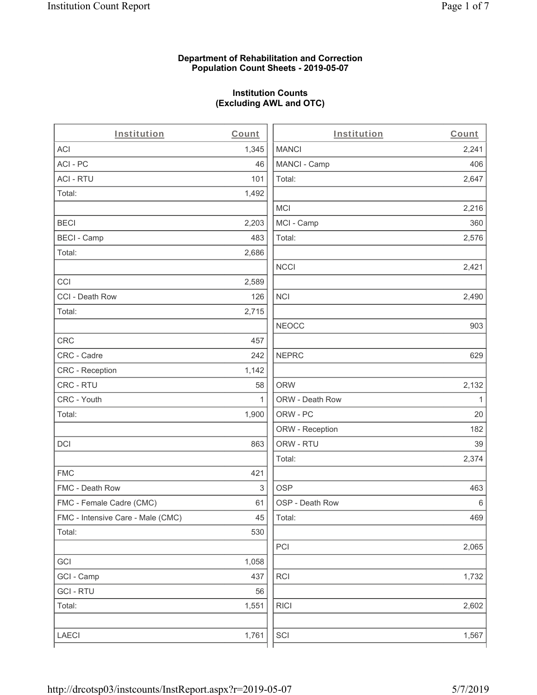#### **Department of Rehabilitation and Correction Population Count Sheets - 2019-05-07**

# **Institution Counts (Excluding AWL and OTC)**

. .

| Institution                       | Count        | Institution     | Count        |
|-----------------------------------|--------------|-----------------|--------------|
| <b>ACI</b>                        | 1,345        | <b>MANCI</b>    | 2,241        |
| ACI - PC                          | 46           | MANCI - Camp    | 406          |
| <b>ACI - RTU</b>                  | 101          | Total:          | 2,647        |
| Total:                            | 1,492        |                 |              |
|                                   |              | <b>MCI</b>      | 2,216        |
| <b>BECI</b>                       | 2,203        | MCI - Camp      | 360          |
| <b>BECI - Camp</b>                | 483          | Total:          | 2,576        |
| Total:                            | 2,686        |                 |              |
|                                   |              | <b>NCCI</b>     | 2,421        |
| CCI                               | 2,589        |                 |              |
| CCI - Death Row                   | 126          | <b>NCI</b>      | 2,490        |
| Total:                            | 2,715        |                 |              |
|                                   |              | <b>NEOCC</b>    | 903          |
| CRC                               | 457          |                 |              |
| CRC - Cadre                       | 242          | <b>NEPRC</b>    | 629          |
| <b>CRC</b> - Reception            | 1,142        |                 |              |
| CRC - RTU                         | 58           | <b>ORW</b>      | 2,132        |
| CRC - Youth                       | $\mathbf{1}$ | ORW - Death Row | $\mathbf{1}$ |
| Total:                            | 1,900        | ORW - PC        | 20           |
|                                   |              | ORW - Reception | 182          |
| DCI                               | 863          | ORW - RTU       | 39           |
|                                   |              | Total:          | 2,374        |
| <b>FMC</b>                        | 421          |                 |              |
| FMC - Death Row                   | 3            | <b>OSP</b>      | 463          |
| FMC - Female Cadre (CMC)          | 61           | OSP - Death Row | 6            |
| FMC - Intensive Care - Male (CMC) | 45           | Total:          | 469          |
| Total:                            | 530          |                 |              |
|                                   |              | PCI             | 2,065        |
| GCI                               | 1,058        |                 |              |
| GCI - Camp                        | 437          | RCI             | 1,732        |
| <b>GCI - RTU</b>                  | 56           |                 |              |
| Total:                            | 1,551        | <b>RICI</b>     | 2,602        |
| LAECI                             | 1,761        | SCI             | 1,567        |
|                                   |              |                 |              |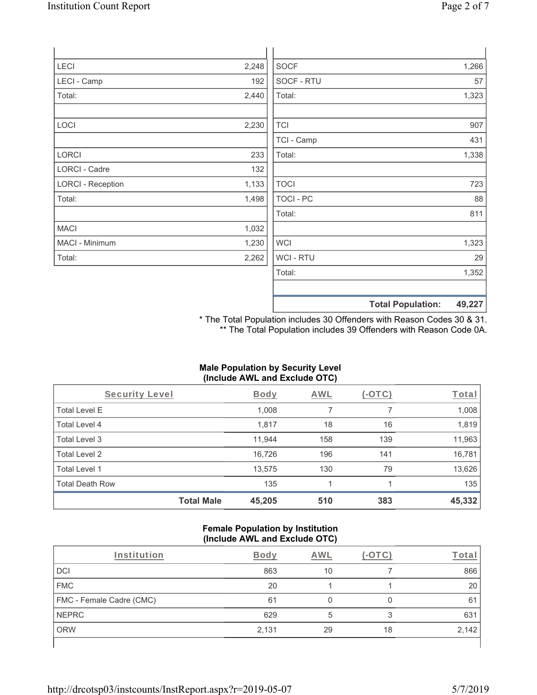| LECI                     | 2,248 | <b>SOCF</b>      | 1,266 |
|--------------------------|-------|------------------|-------|
| LECI - Camp              | 192   | SOCF - RTU       | 57    |
| Total:                   | 2,440 | Total:           | 1,323 |
|                          |       |                  |       |
| LOCI                     | 2,230 | <b>TCI</b>       | 907   |
|                          |       | TCI - Camp       | 431   |
| LORCI                    | 233   | Total:           | 1,338 |
| <b>LORCI - Cadre</b>     | 132   |                  |       |
| <b>LORCI - Reception</b> | 1,133 | <b>TOCI</b>      | 723   |
| Total:                   | 1,498 | <b>TOCI - PC</b> | 88    |
|                          |       | Total:           | 811   |
| <b>MACI</b>              | 1,032 |                  |       |
| MACI - Minimum           | 1,230 | <b>WCI</b>       | 1,323 |
| Total:                   | 2,262 | WCI - RTU        | 29    |
|                          |       | Total:           | 1,352 |
|                          |       |                  |       |

\* The Total Population includes 30 Offenders with Reason Codes 30 & 31. \*\* The Total Population includes 39 Offenders with Reason Code 0A.

**Total Population: 49,227**

# **Male Population by Security Level (Include AWL and Exclude OTC)**

| Security Level         |                   | <b>Body</b> | <b>AWL</b> | $(-\text{OTC})$ | Total  |
|------------------------|-------------------|-------------|------------|-----------------|--------|
| <b>Total Level E</b>   |                   | 1,008       | 7          |                 | 1,008  |
| Total Level 4          |                   | 1,817       | 18         | 16              | 1,819  |
| Total Level 3          |                   | 11,944      | 158        | 139             | 11,963 |
| Total Level 2          |                   | 16,726      | 196        | 141             | 16,781 |
| Total Level 1          |                   | 13,575      | 130        | 79              | 13,626 |
| <b>Total Death Row</b> |                   | 135         |            |                 | 135    |
|                        | <b>Total Male</b> | 45,205      | 510        | 383             | 45,332 |

#### **Female Population by Institution (Include AWL and Exclude OTC)**

| Institution              | <b>Body</b> | AWL |    | Г <u>оt</u> аг |
|--------------------------|-------------|-----|----|----------------|
| <b>DCI</b>               | 863         | 10  |    | 866            |
| <b>FMC</b>               | 20          |     |    | 20             |
| FMC - Female Cadre (CMC) | 61          |     |    | 61             |
| <b>NEPRC</b>             | 629         | 5   | 3  | 631            |
| <b>ORW</b>               | 2,131       | 29  | 18 | 2,142          |
|                          |             |     |    |                |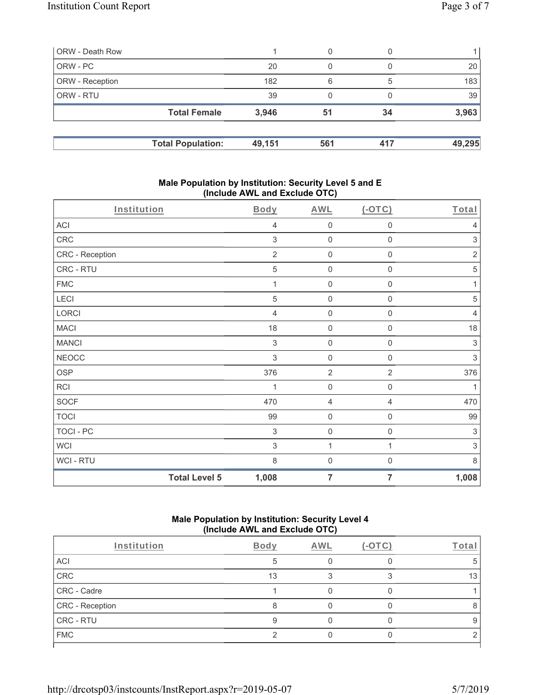| ORW - Death Row        |                          |        | 0   |     |        |
|------------------------|--------------------------|--------|-----|-----|--------|
| ORW - PC               |                          | 20     | 0   |     | 20     |
| <b>ORW</b> - Reception |                          | 182    | 6   | 5   | 183    |
| <b>ORW - RTU</b>       |                          | 39     | 0   |     | 39     |
|                        | <b>Total Female</b>      | 3,946  | 51  | 34  | 3,963  |
|                        |                          |        |     |     |        |
|                        | <b>Total Population:</b> | 49,151 | 561 | 417 | 49,295 |

### **Male Population by Institution: Security Level 5 and E (Include AWL and Exclude OTC)**

| Institution      | <b>Body</b>                   | <b>AWL</b>     | $(-OTC)$            | Total          |
|------------------|-------------------------------|----------------|---------------------|----------------|
| ACI              | 4                             | $\mathbf 0$    | $\mathsf{O}\xspace$ | $\overline{4}$ |
| CRC              | $\,$ 3 $\,$                   | $\mathbf 0$    | $\mathbf 0$         | $\sqrt{3}$     |
| CRC - Reception  | $\overline{2}$                | $\mathbf 0$    | 0                   | $\overline{2}$ |
| CRC - RTU        | 5                             | $\mathbf 0$    | $\mathbf 0$         | $\,$ 5 $\,$    |
| <b>FMC</b>       | 1                             | $\mathbf 0$    | 0                   | 1              |
| LECI             | 5                             | $\mathbf 0$    | 0                   | $\sqrt{5}$     |
| <b>LORCI</b>     | $\overline{4}$                | $\mathbf 0$    | 0                   | $\overline{4}$ |
| <b>MACI</b>      | 18                            | $\mathbf 0$    | 0                   | 18             |
| <b>MANCI</b>     | $\sqrt{3}$                    | $\mathbf 0$    | $\boldsymbol{0}$    | $\sqrt{3}$     |
| <b>NEOCC</b>     | 3                             | $\mathbf 0$    | 0                   | $\,$ 3 $\,$    |
| <b>OSP</b>       | 376                           | $\sqrt{2}$     | $\overline{2}$      | 376            |
| RCI              |                               | $\mathbf 0$    | 0                   |                |
| <b>SOCF</b>      | 470                           | $\overline{4}$ | 4                   | 470            |
| <b>TOCI</b>      | 99                            | $\mathbf 0$    | 0                   | 99             |
| <b>TOCI - PC</b> | $\sqrt{3}$                    | $\mathbf 0$    | $\mathbf 0$         | $\,$ 3 $\,$    |
| <b>WCI</b>       | $\sqrt{3}$                    | 1              | 1                   | $\sqrt{3}$     |
| WCI - RTU        | 8                             | $\mathbf 0$    | 0                   | 8              |
|                  | <b>Total Level 5</b><br>1,008 | $\overline{7}$ | 7                   | 1,008          |

## **Male Population by Institution: Security Level 4 (Include AWL and Exclude OTC)**

| Institution     | Body | AWL | Total |
|-----------------|------|-----|-------|
| ACI             |      |     |       |
| CRC             | 13   |     | 13    |
| CRC - Cadre     |      |     |       |
| CRC - Reception |      |     |       |
| CRC - RTU       |      |     |       |
| <b>FMC</b>      |      |     |       |
|                 |      |     |       |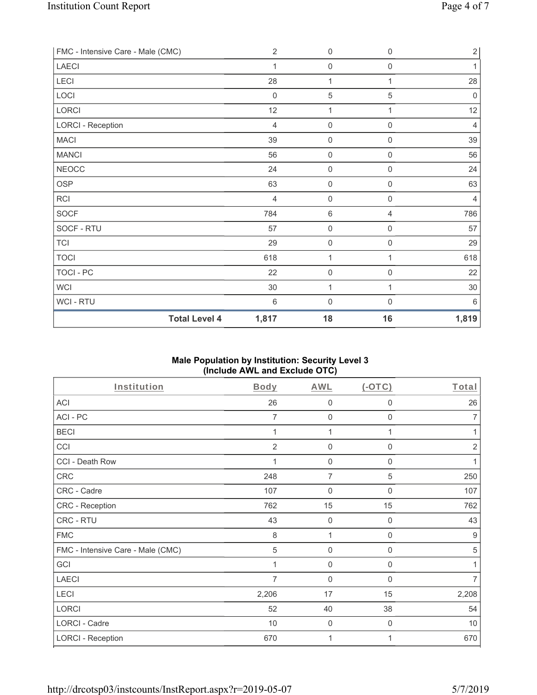| <b>Total Level 4</b>              | 1,817          | 18                  | 16                  | 1,819          |
|-----------------------------------|----------------|---------------------|---------------------|----------------|
| WCI - RTU                         | $\,6\,$        | $\mathbf 0$         | $\mathsf{O}\xspace$ | 6              |
| WCI                               | 30             | 1                   | 1                   | 30             |
| <b>TOCI - PC</b>                  | 22             | $\boldsymbol{0}$    | $\mathsf{O}\xspace$ | 22             |
| <b>TOCI</b>                       | 618            | 1                   | 1                   | 618            |
| <b>TCI</b>                        | 29             | $\mathsf{O}\xspace$ | $\mathsf{O}\xspace$ | 29             |
| SOCF - RTU                        | 57             | $\mathbf 0$         | $\boldsymbol{0}$    | 57             |
| <b>SOCF</b>                       | 784            | $6\,$               | $\overline{4}$      | 786            |
| RCI                               | $\overline{4}$ | $\mathbf 0$         | $\boldsymbol{0}$    | 4              |
| <b>OSP</b>                        | 63             | $\mathbf 0$         | $\boldsymbol{0}$    | 63             |
| <b>NEOCC</b>                      | 24             | $\mathbf 0$         | $\boldsymbol{0}$    | 24             |
| <b>MANCI</b>                      | 56             | $\mathbf 0$         | $\boldsymbol{0}$    | 56             |
| <b>MACI</b>                       | 39             | $\mathbf 0$         | $\mathbf 0$         | 39             |
| <b>LORCI - Reception</b>          | $\overline{4}$ | $\mathbf 0$         | $\mathbf 0$         | $\overline{4}$ |
| LORCI                             | 12             | 1                   | 1                   | 12             |
| LOCI                              | $\mathbf 0$    | $\mathbf 5$         | 5                   | $\mathbf 0$    |
| LECI                              | 28             | 1                   | 1                   | 28             |
| <b>LAECI</b>                      | 1              | $\mathbf 0$         | $\boldsymbol{0}$    | 1              |
| FMC - Intensive Care - Male (CMC) | $\overline{2}$ | $\mathbf 0$         | 0                   | $2\vert$       |

# **Male Population by Institution: Security Level 3 (Include AWL and Exclude OTC)**

| Institution                       | Body           | <b>AWL</b>          | $(-OTC)$    | Total          |
|-----------------------------------|----------------|---------------------|-------------|----------------|
| <b>ACI</b>                        | 26             | 0                   | 0           | 26             |
| ACI-PC                            | 7              | $\mathbf 0$         | 0           | 7              |
| <b>BECI</b>                       | 1              | 1                   | 1           | 1              |
| CCI                               | $\overline{2}$ | $\mathbf 0$         | 0           | $\overline{2}$ |
| CCI - Death Row                   |                | 0                   | 0           |                |
| <b>CRC</b>                        | 248            | $\overline{7}$      | 5           | 250            |
| CRC - Cadre                       | 107            | 0                   | 0           | 107            |
| CRC - Reception                   | 762            | 15                  | 15          | 762            |
| CRC - RTU                         | 43             | $\mathbf 0$         | 0           | 43             |
| <b>FMC</b>                        | 8              | 1                   | $\mathbf 0$ | 9              |
| FMC - Intensive Care - Male (CMC) | 5              | $\mathsf{O}\xspace$ | $\mathbf 0$ | 5              |
| GCI                               |                | $\mathbf 0$         | $\mathbf 0$ |                |
| <b>LAECI</b>                      | 7              | $\mathbf 0$         | $\mathbf 0$ | 7              |
| LECI                              | 2,206          | 17                  | 15          | 2,208          |
| <b>LORCI</b>                      | 52             | 40                  | 38          | 54             |
| LORCI - Cadre                     | 10             | 0                   | $\mathbf 0$ | 10             |
| <b>LORCI - Reception</b>          | 670            | 1                   |             | 670            |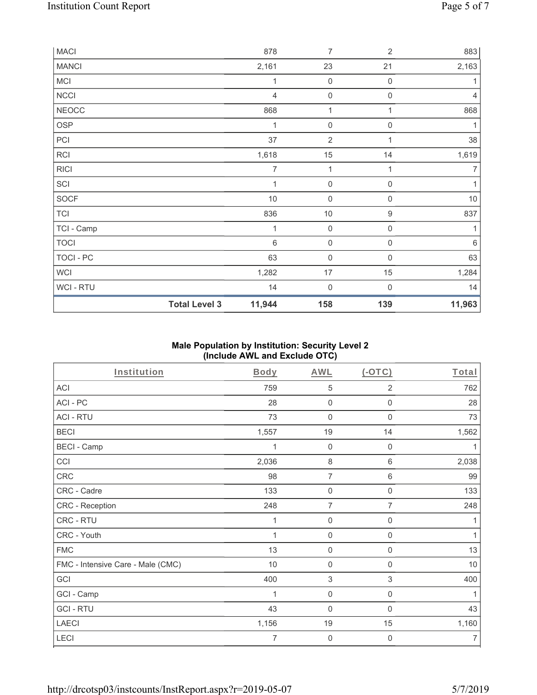| <b>MACI</b>  |                      | 878            | $\overline{7}$      | $\overline{2}$      | 883            |
|--------------|----------------------|----------------|---------------------|---------------------|----------------|
| <b>MANCI</b> |                      | 2,161          | 23                  | 21                  | 2,163          |
| MCI          |                      | 1              | $\mathbf 0$         | $\mathbf 0$         | 1              |
| <b>NCCI</b>  |                      | $\overline{4}$ | $\mathsf{O}\xspace$ | $\boldsymbol{0}$    | $\overline{4}$ |
| <b>NEOCC</b> |                      | 868            | 1                   | 1                   | 868            |
| <b>OSP</b>   |                      | 1              | $\mathsf{O}\xspace$ | $\mathsf 0$         | 1              |
| PCI          |                      | 37             | $\overline{2}$      | 1                   | 38             |
| RCI          |                      | 1,618          | 15                  | 14                  | 1,619          |
| <b>RICI</b>  |                      | $\overline{7}$ | 1                   | 1                   | $\overline{7}$ |
| SCI          |                      | 1              | $\mathsf 0$         | $\boldsymbol{0}$    | 1              |
| SOCF         |                      | $10$           | $\mathbf 0$         | $\mathsf{O}\xspace$ | 10             |
| <b>TCI</b>   |                      | 836            | $10$                | $\boldsymbol{9}$    | 837            |
| TCI - Camp   |                      | 1              | $\mathbf 0$         | $\mathsf 0$         |                |
| <b>TOCI</b>  |                      | $\,6\,$        | $\mathsf{O}\xspace$ | 0                   | $\,6\,$        |
| TOCI - PC    |                      | 63             | $\mathbf 0$         | 0                   | 63             |
| WCI          |                      | 1,282          | 17                  | 15                  | 1,284          |
| WCI - RTU    |                      | 14             | $\boldsymbol{0}$    | 0                   | 14             |
|              | <b>Total Level 3</b> | 11,944         | 158                 | 139                 | 11,963         |

## **Male Population by Institution: Security Level 2 (Include AWL and Exclude OTC)**

| <b>Institution</b>                | <b>Body</b> | <b>AWL</b>                | (OTC)                     | <u>Total</u>   |
|-----------------------------------|-------------|---------------------------|---------------------------|----------------|
| ACI                               | 759         | 5                         | $\overline{2}$            | 762            |
| ACI - PC                          | 28          | $\mathbf 0$               | $\boldsymbol{0}$          | 28             |
| <b>ACI - RTU</b>                  | 73          | 0                         | $\mathbf 0$               | 73             |
| <b>BECI</b>                       | 1,557       | 19                        | 14                        | 1,562          |
| <b>BECI - Camp</b>                | 1           | $\mathbf 0$               | $\mathbf 0$               | 1              |
| CCI                               | 2,036       | 8                         | 6                         | 2,038          |
| CRC                               | 98          | $\overline{7}$            | 6                         | 99             |
| CRC - Cadre                       | 133         | $\mathbf 0$               | $\boldsymbol{0}$          | 133            |
| CRC - Reception                   | 248         | $\overline{7}$            | $\overline{7}$            | 248            |
| CRC - RTU                         | 1           | $\mathbf 0$               | $\mathbf 0$               | 1              |
| CRC - Youth                       | 1           | $\mathbf 0$               | $\mathbf 0$               | 1              |
| <b>FMC</b>                        | 13          | $\mathsf{O}\xspace$       | $\boldsymbol{0}$          | 13             |
| FMC - Intensive Care - Male (CMC) | 10          | $\mathsf 0$               | $\boldsymbol{0}$          | $10$           |
| GCI                               | 400         | $\ensuremath{\mathsf{3}}$ | $\ensuremath{\mathsf{3}}$ | 400            |
| GCI - Camp                        | 1           | 0                         | 0                         | 1              |
| <b>GCI-RTU</b>                    | 43          | $\mathbf 0$               | 0                         | 43             |
| <b>LAECI</b>                      | 1,156       | 19                        | 15                        | 1,160          |
| <b>LECI</b>                       | 7           | $\mathbf 0$               | 0                         | $\overline{7}$ |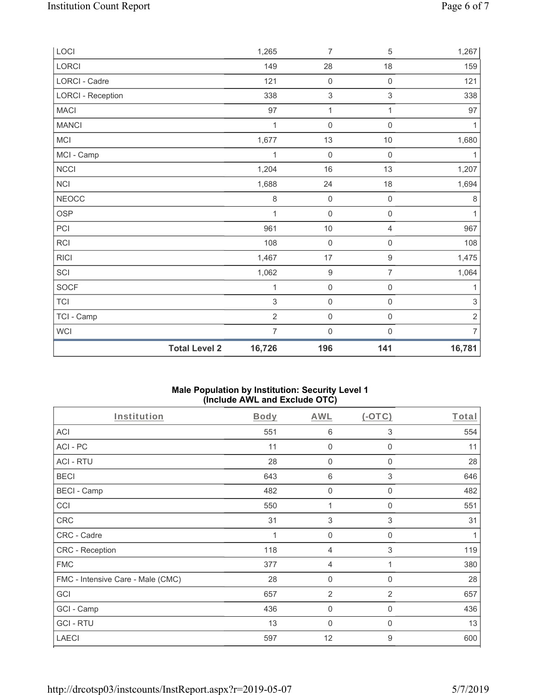|                          | <b>Total Level 2</b><br>16,726 | 196                 | 141                 | 16,781         |
|--------------------------|--------------------------------|---------------------|---------------------|----------------|
| WCI                      | $\overline{7}$                 | $\mathsf{O}\xspace$ | $\mathsf{O}\xspace$ | $\overline{7}$ |
| TCI - Camp               | $\overline{2}$                 | $\mathsf{O}\xspace$ | $\mathsf{O}\xspace$ | $\sqrt{2}$     |
| <b>TCI</b>               | 3                              | $\mathsf{O}\xspace$ | $\mathsf{O}\xspace$ | 3              |
| SOCF                     | 1                              | $\mathsf{O}\xspace$ | $\mathsf{O}\xspace$ | 1              |
| SCI                      | 1,062                          | $\boldsymbol{9}$    | $\overline{7}$      | 1,064          |
| <b>RICI</b>              | 1,467                          | $17\,$              | $\hbox{9}$          | 1,475          |
| RCI                      | 108                            | $\mathsf{O}\xspace$ | $\mathsf{O}\xspace$ | 108            |
| PCI                      | 961                            | $10$                | $\sqrt{4}$          | 967            |
| OSP                      | 1                              | $\mathsf{O}\xspace$ | $\mathsf{O}\xspace$ | 1              |
| <b>NEOCC</b>             | $\,8\,$                        | $\mathbf 0$         | $\mathsf 0$         | $\,8\,$        |
| NCI                      | 1,688                          | 24                  | 18                  | 1,694          |
| NCCI                     | 1,204                          | $16$                | 13                  | 1,207          |
| MCI - Camp               | $\mathbf{1}$                   | $\mathsf{O}\xspace$ | $\mathsf{O}\xspace$ | 1              |
| MCI                      | 1,677                          | 13                  | $10\,$              | 1,680          |
| <b>MANCI</b>             | 1                              | $\mathsf{O}\xspace$ | $\mathbf 0$         | $\mathbf{1}$   |
| <b>MACI</b>              | 97                             | $\mathbf{1}$        | 1                   | 97             |
| <b>LORCI - Reception</b> | 338                            | $\sqrt{3}$          | $\mathfrak{S}$      | 338            |
| <b>LORCI - Cadre</b>     | 121                            | $\mathbf 0$         | $\mathsf 0$         | 121            |
| LORCI                    | 149                            | 28                  | 18                  | 159            |
| LOCI                     | 1,265                          | $\overline{7}$      | $\mathbf 5$         | 1,267          |

#### **Male Population by Institution: Security Level 1 (Include AWL and Exclude OTC)**

| Institution                       | <b>Body</b> | <b>AWL</b>     | (OTC)        | Total |
|-----------------------------------|-------------|----------------|--------------|-------|
| <b>ACI</b>                        | 551         | 6              | 3            | 554   |
| ACI-PC                            | 11          | 0              | $\Omega$     | 11    |
| <b>ACI - RTU</b>                  | 28          | 0              | 0            | 28    |
| <b>BECI</b>                       | 643         | 6              | 3            | 646   |
| <b>BECI - Camp</b>                | 482         | 0              | $\mathbf 0$  | 482   |
| CCI                               | 550         | 1              | 0            | 551   |
| <b>CRC</b>                        | 31          | 3              | 3            | 31    |
| CRC - Cadre                       | 1           | $\mathbf 0$    | $\mathbf 0$  | 1     |
| CRC - Reception                   | 118         | 4              | 3            | 119   |
| <b>FMC</b>                        | 377         | 4              | 1            | 380   |
| FMC - Intensive Care - Male (CMC) | 28          | 0              | $\mathbf 0$  | 28    |
| GCI                               | 657         | $\overline{2}$ | 2            | 657   |
| GCI - Camp                        | 436         | $\mathbf 0$    | $\mathbf 0$  | 436   |
| <b>GCI-RTU</b>                    | 13          | $\mathbf 0$    | $\mathbf{0}$ | 13    |
| <b>LAECI</b>                      | 597         | 12             | 9            | 600   |